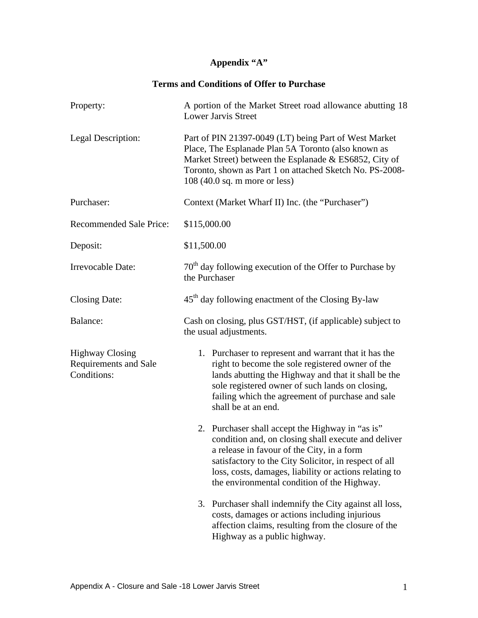## **Appendix "A"**

## **Terms and Conditions of Offer to Purchase**

| Property:                                                             | A portion of the Market Street road allowance abutting 18<br>Lower Jarvis Street                                                                                                                                                                                                                                                                   |
|-----------------------------------------------------------------------|----------------------------------------------------------------------------------------------------------------------------------------------------------------------------------------------------------------------------------------------------------------------------------------------------------------------------------------------------|
| Legal Description:                                                    | Part of PIN 21397-0049 (LT) being Part of West Market<br>Place, The Esplanade Plan 5A Toronto (also known as<br>Market Street) between the Esplanade & ES6852, City of<br>Toronto, shown as Part 1 on attached Sketch No. PS-2008-<br>$108(40.0$ sq. m more or less)                                                                               |
| Purchaser:                                                            | Context (Market Wharf II) Inc. (the "Purchaser")                                                                                                                                                                                                                                                                                                   |
| Recommended Sale Price:                                               | \$115,000.00                                                                                                                                                                                                                                                                                                                                       |
| Deposit:                                                              | \$11,500.00                                                                                                                                                                                                                                                                                                                                        |
| Irrevocable Date:                                                     | $70th$ day following execution of the Offer to Purchase by<br>the Purchaser                                                                                                                                                                                                                                                                        |
| <b>Closing Date:</b>                                                  | 45 <sup>th</sup> day following enactment of the Closing By-law                                                                                                                                                                                                                                                                                     |
| Balance:                                                              | Cash on closing, plus GST/HST, (if applicable) subject to<br>the usual adjustments.                                                                                                                                                                                                                                                                |
| <b>Highway Closing</b><br><b>Requirements and Sale</b><br>Conditions: | 1. Purchaser to represent and warrant that it has the<br>right to become the sole registered owner of the<br>lands abutting the Highway and that it shall be the<br>sole registered owner of such lands on closing,<br>failing which the agreement of purchase and sale<br>shall be at an end.<br>2. Purchaser shall accept the Highway in "as is" |
|                                                                       | condition and, on closing shall execute and deliver<br>a release in favour of the City, in a form<br>satisfactory to the City Solicitor, in respect of all<br>loss, costs, damages, liability or actions relating to<br>the environmental condition of the Highway.                                                                                |
|                                                                       | 3. Purchaser shall indemnify the City against all loss,<br>costs, damages or actions including injurious<br>affection claims, resulting from the closure of the<br>Highway as a public highway.                                                                                                                                                    |